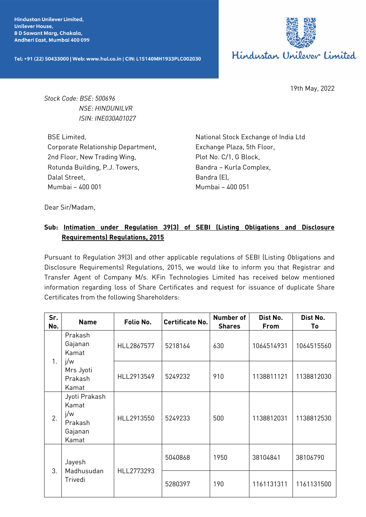**Hindustan Unilever Limited. Unilever House, BD Sawant Marg, Chakala,** Andheri East, Mumbai 400 099

Tel: +91 (22) 50433000 | Web: www.hul.co.in | CIN: L15140MH1933PLC002030



19th May, 2022

*Stock Code: BSE: 500696 NSE: HINDUNILVR ISIN: INE030A01027*

BSE Limited, Corporate Relationship Department, 2nd Floor, New Trading Wing, Rotunda Building, P.J. Towers, Dalal Street, Mumbai – 400 001

National Stock Exchange of India Ltd Exchange Plaza, 5th Floor, Plot No. C/1, G Block, Bandra – Kurla Complex, Bandra (E), Mumbai – 400 051

Dear Sir/Madam,

## **Sub: Intimation under Regulation 39(3) of SEBI (Listing Obligations and Disclosure Requirements) Regulations, 2015**

Pursuant to Regulation 39(3) and other applicable regulations of SEBI (Listing Obligations and Disclosure Requirements) Regulations, 2015, we would like to inform you that Registrar and Transfer Agent of Company M/s. KFin Technologies Limited has received below mentioned information regarding loss of Share Certificates and request for issuance of duplicate Share Certificates from the following Shareholders:

| Sr.<br>No. | <b>Name</b>                                                         | Folio No.  | <b>Certificate No.</b> | <b>Number of</b><br><b>Shares</b> | Dist No.<br><b>From</b> | Dist No.<br>To |
|------------|---------------------------------------------------------------------|------------|------------------------|-----------------------------------|-------------------------|----------------|
| 1.         | Prakash<br>Gajanan<br>Kamat<br>j/w<br>Mrs Jyoti<br>Prakash<br>Kamat | HLL2867577 | 5218164                | 630                               | 1064514931              | 1064515560     |
|            |                                                                     | HLL2913549 | 5249232                | 910                               | 1138811121              | 1138812030     |
| 2.         | Jyoti Prakash<br>Kamat<br>j/w<br>Prakash<br>Gajanan<br>Kamat        | HLL2913550 | 5249233                | 500                               | 1138812031              | 1138812530     |
| 3.         | Jayesh<br>Madhusudan<br>Trivedi                                     | HLL2773293 | 5040868                | 1950                              | 38104841                | 38106790       |
|            |                                                                     |            | 5280397                | 190                               | 1161131311              | 1161131500     |